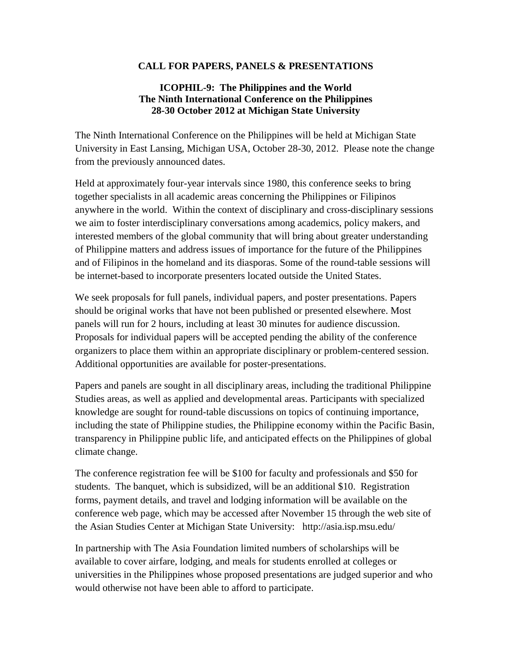## **CALL FOR PAPERS, PANELS & PRESENTATIONS**

## **ICOPHIL-9: The Philippines and the World The Ninth International Conference on the Philippines 28-30 October 2012 at Michigan State University**

The Ninth International Conference on the Philippines will be held at Michigan State University in East Lansing, Michigan USA, October 28-30, 2012. Please note the change from the previously announced dates.

Held at approximately four-year intervals since 1980, this conference seeks to bring together specialists in all academic areas concerning the Philippines or Filipinos anywhere in the world. Within the context of disciplinary and cross-disciplinary sessions we aim to foster interdisciplinary conversations among academics, policy makers, and interested members of the global community that will bring about greater understanding of Philippine matters and address issues of importance for the future of the Philippines and of Filipinos in the homeland and its diasporas. Some of the round-table sessions will be internet-based to incorporate presenters located outside the United States.

We seek proposals for full panels, individual papers, and poster presentations. Papers should be original works that have not been published or presented elsewhere. Most panels will run for 2 hours, including at least 30 minutes for audience discussion. Proposals for individual papers will be accepted pending the ability of the conference organizers to place them within an appropriate disciplinary or problem-centered session. Additional opportunities are available for poster-presentations.

Papers and panels are sought in all disciplinary areas, including the traditional Philippine Studies areas, as well as applied and developmental areas. Participants with specialized knowledge are sought for round-table discussions on topics of continuing importance, including the state of Philippine studies, the Philippine economy within the Pacific Basin, transparency in Philippine public life, and anticipated effects on the Philippines of global climate change.

The conference registration fee will be \$100 for faculty and professionals and \$50 for students. The banquet, which is subsidized, will be an additional \$10. Registration forms, payment details, and travel and lodging information will be available on the conference web page, which may be accessed after November 15 through the web site of the Asian Studies Center at Michigan State University: http://asia.isp.msu.edu/

In partnership with The Asia Foundation limited numbers of scholarships will be available to cover airfare, lodging, and meals for students enrolled at colleges or universities in the Philippines whose proposed presentations are judged superior and who would otherwise not have been able to afford to participate.